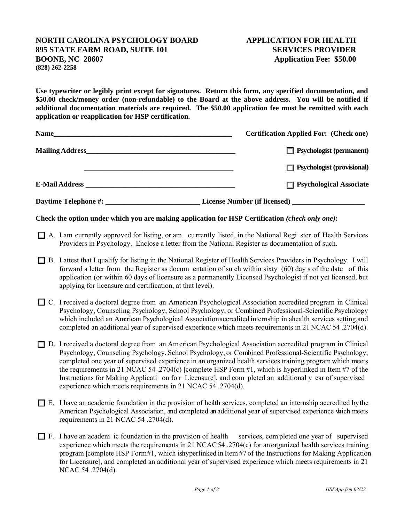## **NORTH CAROLINA PSYCHOLOGY BOARD APPLICATION FOR HEALTH 895 STATE FARM ROAD, SUITE 101 SERVICES PROVIDER BOONE, NC 28607 Application Fee: \$50.00 (828) 262-2258**

**Use typewriter or legibly print except for signatures. Return this form, any specified documentation, and \$50.00 check/money order (non-refundable) to the Board at the above address. You will be notified if additional documentation materials are required. The \$50.00 application fee must be remitted with each application or reapplication for HSP certification.**

| <b>Name</b>                     | <b>Certification Applied For: (Check one)</b> |
|---------------------------------|-----------------------------------------------|
| Mailing Address Mailing Address | $\Box$ Psychologist (permanent)               |
|                                 | $\Box$ Psychologist (provisional)             |
|                                 | $\Box$ Psychological Associate                |
| Daytime Telephone #:            |                                               |

**Check the option under which you are making application for HSP Certification** *(check only one)***:**

- \_\_\_ A. I am currently approved for listing, or am cu rrently listed, in the National Regi ster of Health Services Providers in Psychology. Enclose a letter from the National Register as documentation of such.
- \_\_\_ B. I attest that I qualify for listing in the National Register of Health Services Providers in Psychology. I will forward a letter from the Register as docum entation of su ch within sixty (60) day s of the date of this application (or within 60 days of licensure as a permanently Licensed Psychologist if not yet licensed, but applying for licensure and certification, at that level).
- \_\_\_ C. I received a doctoral degree from an American Psychological Association accredited program in Clinical Psychology, Counseling Psychology, School Psychology, or Combined Professional-Scientific Psychology which included an American Psychological Association accredited internship in ahealth services setting, and completed an additional year of supervised experience which meets requirements in 21 NCAC 54 .2704(d).
- \_\_\_ D. I received a doctoral degree from an American Psychological Association accredited program in Clinical Psychology, Counseling Psychology, School Psychology, or Combined Professional-Scientific Psychology, completed one year of supervised experience in an organized health services training program which meets the requirements in 21 NCAC 54 .2704(c) [complete HSP Form #1, which is hyperlinked in Item #7 of the Instructions for Making Applicati on fo r Licensure], and com pleted an additional y ear of supervised experience which meets requirements in 21 NCAC 54 .2704(d).
- $\Box$  E. I have an academic foundation in the provision of health services, completed an internship accredited by the American Psychological Association, and completed an additional year of supervised experience which meets requirements in 21 NCAC 54 .2704(d).
- $\Box$  F. I have an academ ic foundation in the provision of health services, completed one year of supervised experience which meets the requirements in 21 NCAC 54 .2704(c) for an organized health services training program [complete HSP Form#1, which is hyperlinked in Item #7 of the Instructions for Making Application for Licensure], and completed an additional year of supervised experience which meets requirements in 21 NCAC 54 .2704(d).